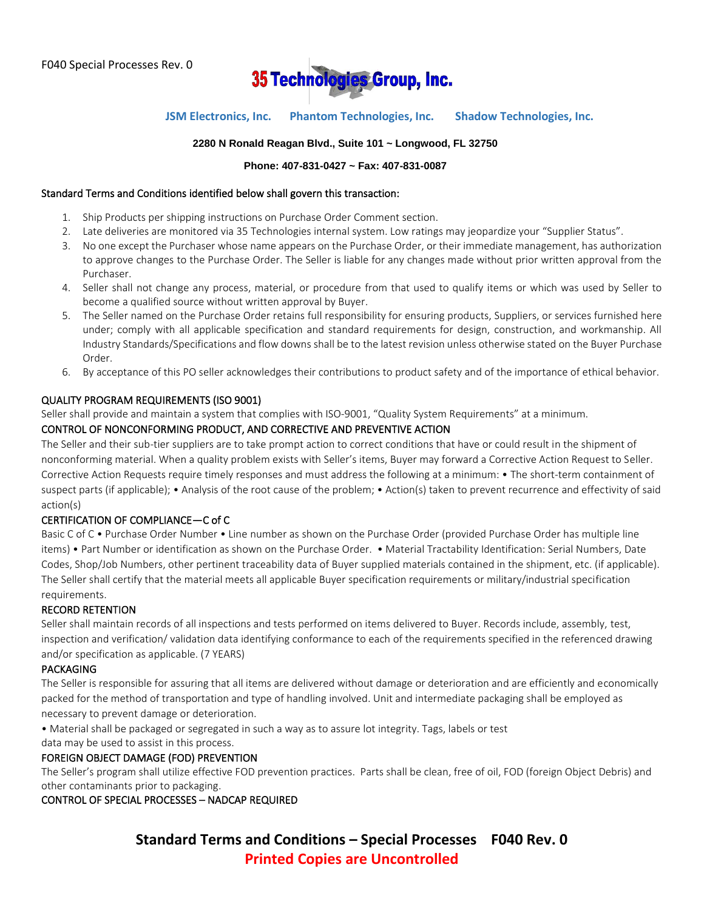

### **JSM Electronics, Inc. Phantom Technologies, Inc. Shadow Technologies, Inc.**

### **2280 N Ronald Reagan Blvd., Suite 101 ~ Longwood, FL 32750**

#### **Phone: 407-831-0427 ~ Fax: 407-831-0087**

#### Standard Terms and Conditions identified below shall govern this transaction:

- 1. Ship Products per shipping instructions on Purchase Order Comment section.
- 2. Late deliveries are monitored via 35 Technologies internal system. Low ratings may jeopardize your "Supplier Status".
- 3. No one except the Purchaser whose name appears on the Purchase Order, or their immediate management, has authorization to approve changes to the Purchase Order. The Seller is liable for any changes made without prior written approval from the Purchaser.
- 4. Seller shall not change any process, material, or procedure from that used to qualify items or which was used by Seller to become a qualified source without written approval by Buyer.
- 5. The Seller named on the Purchase Order retains full responsibility for ensuring products, Suppliers, or services furnished here under; comply with all applicable specification and standard requirements for design, construction, and workmanship. All Industry Standards/Specifications and flow downs shall be to the latest revision unless otherwise stated on the Buyer Purchase Order.
- 6. By acceptance of this PO seller acknowledges their contributions to product safety and of the importance of ethical behavior.

### QUALITY PROGRAM REQUIREMENTS (ISO 9001)

Seller shall provide and maintain a system that complies with ISO-9001, "Quality System Requirements" at a minimum.

### CONTROL OF NONCONFORMING PRODUCT, AND CORRECTIVE AND PREVENTIVE ACTION

The Seller and their sub-tier suppliers are to take prompt action to correct conditions that have or could result in the shipment of nonconforming material. When a quality problem exists with Seller's items, Buyer may forward a Corrective Action Request to Seller. Corrective Action Requests require timely responses and must address the following at a minimum: • The short-term containment of suspect parts (if applicable); • Analysis of the root cause of the problem; • Action(s) taken to prevent recurrence and effectivity of said action(s)

### CERTIFICATION OF COMPLIANCE—C of C

Basic C of C • Purchase Order Number • Line number as shown on the Purchase Order (provided Purchase Order has multiple line items) • Part Number or identification as shown on the Purchase Order. • Material Tractability Identification: Serial Numbers, Date Codes, Shop/Job Numbers, other pertinent traceability data of Buyer supplied materials contained in the shipment, etc. (if applicable). The Seller shall certify that the material meets all applicable Buyer specification requirements or military/industrial specification requirements.

### RECORD RETENTION

Seller shall maintain records of all inspections and tests performed on items delivered to Buyer. Records include, assembly, test, inspection and verification/ validation data identifying conformance to each of the requirements specified in the referenced drawing and/or specification as applicable. (7 YEARS)

#### PACKAGING

The Seller is responsible for assuring that all items are delivered without damage or deterioration and are efficiently and economically packed for the method of transportation and type of handling involved. Unit and intermediate packaging shall be employed as necessary to prevent damage or deterioration.

• Material shall be packaged or segregated in such a way as to assure lot integrity. Tags, labels or test

data may be used to assist in this process.

### FOREIGN OBJECT DAMAGE (FOD) PREVENTION

The Seller's program shall utilize effective FOD prevention practices. Parts shall be clean, free of oil, FOD (foreign Object Debris) and other contaminants prior to packaging.

CONTROL OF SPECIAL PROCESSES – NADCAP REQUIRED

**Standard Terms and Conditions – Special Processes F040 Rev. 0 Printed Copies are Uncontrolled**